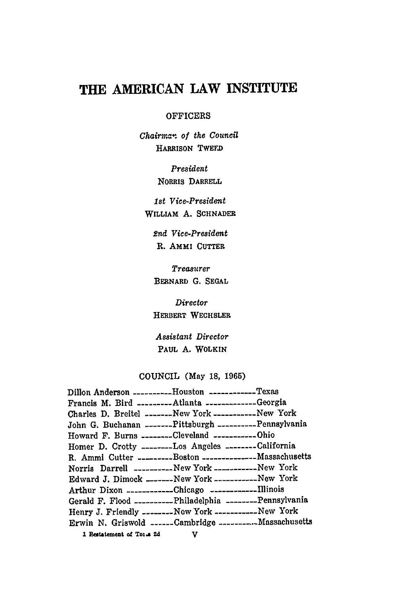# THE AMERICAN LAW **INSTITUTE**

#### **OFFICERS**

*Chairman* of *the Council* HARRISON TWEFD

> *President* NORRIS **DARRELL**

*Ist Vice-President* **WILLIAM A. SCHNADER**

*2nd Vice-President* **R. AMMI CUTTER**

*Treasurer* BERNARI) **G. SEGAL**

*Director* HERBERT **WECHSLER**

*Assistant Director* PAUL **A.** WOLKIN

# **COUNCIL** (May **18, 1965)**

| Dillon Anderson _________Houston ___________Texas            |  |
|--------------------------------------------------------------|--|
| Francis M. Bird ________Atlanta ___________Georgia           |  |
| Charles D. Breitel --------New York -----------New York      |  |
| John G. Buchanan -------Pittsburgh ----------Pennsylvania    |  |
| Howard F. Burns --------Cleveland ------------Ohio           |  |
| Homer D. Crotty --------Los Angeles --------California       |  |
| R. Ammi Cutter ---------Boston ----------------Massachusetts |  |
| Norris Darrell __________New York __________New York         |  |
| Edward J. Dimock _______New York ___________New York         |  |
| Arthur Dixon --------------Chicago -------------Illinois     |  |
| Gerald F. Flood __________Philadelphia ________Pennsylvania  |  |
| Henry J. Friendly ---------New York -------------New York    |  |
| Erwin N. Griswold ______Cambridge _________. Massachusetts   |  |
| 1 Restatement of Torus 2d V                                  |  |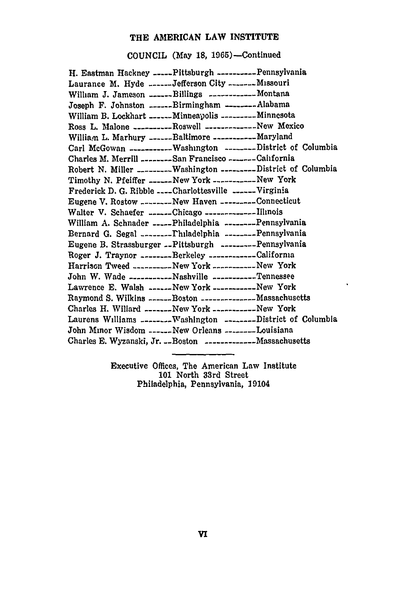## THE **AMERICAN** LAW **INSTITUTE**

**COUNCIL** (May **18,** 1965)--Continued

| H. Eastman Hackney -----Pittsburgh ----------Pennsylvania            |
|----------------------------------------------------------------------|
| Laurance M. Hyde ------Jefferson City -------Missouri                |
| William J. Jameson ------Billings -------------- Montana             |
| Joseph F. Johnston -------Birmingham ---------Alabama                |
| William B. Lockhart ______Minneapolis ________Minnesota              |
| Ross L. Malone __________Roswell _____________New Mexico             |
| William L. Marhury ______Baltimore ___________Maryland               |
| Carl McGowan -------------Washington ---------District of Columbia   |
| Charles M. Merrill ________San Francisco ______California            |
| Robert N. Miller ________Washington ________District of Columbia     |
| Timothy N. Pfeiffer ------New York ------------New York              |
| Frederick D. G. Ribble ____Charlottesville ______Virginia            |
| Eugene V. Rostow _______-New Haven ________Connecticut               |
| Walter V. Schaefer ------Chicago -------------Illinois               |
| William A. Schnader -----Philadelphia --------Pennsylvania           |
| Bernard G. Segal ---------Thiladelphia --------Pennsylvania          |
| Eugene B. Strassburger --Pittsburgh ---------Pennsylvania            |
| Roger J. Traynor --------Berkeley -------------Califorma             |
| Harrison Tweed -----------New York -------------New York             |
| John W. Wade ------------Nashville -----------Tennessee              |
| Lawrence E. Walsh ------New York -----------New York                 |
| Raymond S. Wilkins ------Boston ---------------- Massachusetts       |
| Charles H. Willard -------New York ------------New York              |
| Laurens Williams _________ Washington _________ District of Columbia |
| John Minor Wisdom ______ New Orleans ________Louisiana               |
| Charles E. Wyzanski, Jr. __Boston ____________Massachusetts          |
|                                                                      |

 $\blacksquare$ 

Executive Offices, The American Law Institute **101** North 33rd Street Philadelphia, Pennsylvania, 19104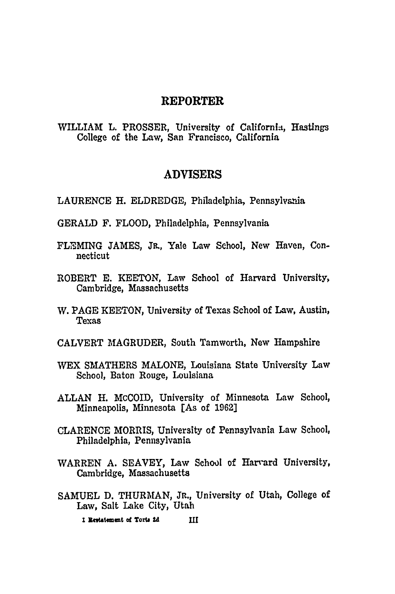# **REPORTER**

WILLIAM L. PROSSER, University of California, Hastings College of the Law, San Francisco, California

## **ADVISERS**

**LAURENCE** H. ELDREDGE, Philadelphia, Pennsylvania

- GERALD F. FLOOD, Philadelphia, Pennsylvania
- **FL"EMING JAMES, JR.,** Yale Law School, New Haven, Connecticut
- ROBERT **E. KEETON,** Law School of Harvard University, Cambridge, Massachusetts
- W. **PAGE KEETON,** University of Texas School of Law, Austin, Texas
- CALVERT **MAGRUDER,** South Tamworth, New Hampshire
- WEX SMATHERS **MALONE,** Louisiana State University Law School, Baton Rouge, Louisiana
- ALLAN H. McCOID, University of Minnesota Law School, Minneapolis, Minnesota [As of 1962]
- **CLARENCE** MORRIS, University of Pennsylvania Law School, Philadelphia, Pennsylvania
- WARREN **A. SEAVEY,** Law School of Harrard University, Cambridge, Massachusetts
- SAMUEL D. THURMAN, Jr., University of Utah, College of Law, Salt Lake City, Utah

1 Restatement of Torts 2d **IH**